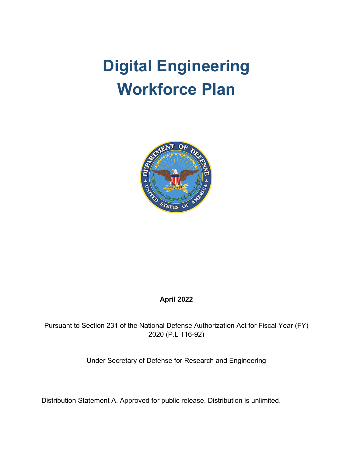# **Digital Engineering Workforce Plan**



# **April 2022**

Pursuant to Section 231 of the National Defense Authorization Act for Fiscal Year (FY) 2020 (P.L 116-92)

Under Secretary of Defense for Research and Engineering

Distribution Statement A. Approved for public release. Distribution is unlimited.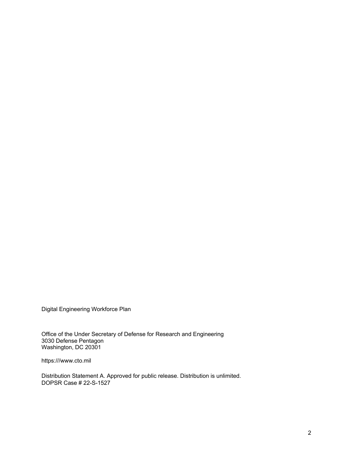Digital Engineering Workforce Plan

Office of the Under Secretary of Defense for Research and Engineering 3030 Defense Pentagon Washington, DC 20301

https:///www.cto.mil

Distribution Statement A. Approved for public release. Distribution is unlimited. DOPSR Case # 22-S-1527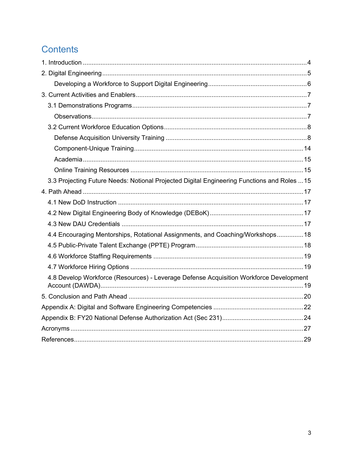# Contents

| 3.3 Projecting Future Needs: Notional Projected Digital Engineering Functions and Roles  15 |  |
|---------------------------------------------------------------------------------------------|--|
|                                                                                             |  |
|                                                                                             |  |
|                                                                                             |  |
|                                                                                             |  |
| 4.4 Encouraging Mentorships, Rotational Assignments, and Coaching/Workshops 18              |  |
|                                                                                             |  |
|                                                                                             |  |
|                                                                                             |  |
| 4.8 Develop Workforce (Resources) - Leverage Defense Acquisition Workforce Development      |  |
|                                                                                             |  |
|                                                                                             |  |
|                                                                                             |  |
|                                                                                             |  |
|                                                                                             |  |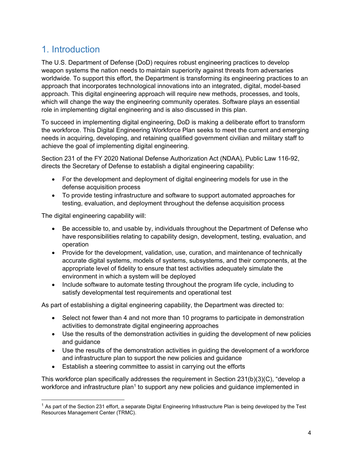# <span id="page-3-0"></span>1. Introduction

The U.S. Department of Defense (DoD) requires robust engineering practices to develop weapon systems the nation needs to maintain superiority against threats from adversaries worldwide. To support this effort, the Department is transforming its engineering practices to an approach that incorporates technological innovations into an integrated, digital, model-based approach. This digital engineering approach will require new methods, processes, and tools, which will change the way the engineering community operates. Software plays an essential role in implementing digital engineering and is also discussed in this plan.

To succeed in implementing digital engineering, DoD is making a deliberate effort to transform the workforce. This Digital Engineering Workforce Plan seeks to meet the current and emerging needs in acquiring, developing, and retaining qualified government civilian and military staff to achieve the goal of implementing digital engineering.

Section 231 of the FY 2020 National Defense Authorization Act (NDAA), Public Law 116-92, directs the Secretary of Defense to establish a digital engineering capability:

- For the development and deployment of digital engineering models for use in the defense acquisition process
- To provide testing infrastructure and software to support automated approaches for testing, evaluation, and deployment throughout the defense acquisition process

The digital engineering capability will:

- Be accessible to, and usable by, individuals throughout the Department of Defense who have responsibilities relating to capability design, development, testing, evaluation, and operation
- Provide for the development, validation, use, curation, and maintenance of technically accurate digital systems, models of systems, subsystems, and their components, at the appropriate level of fidelity to ensure that test activities adequately simulate the environment in which a system will be deployed
- Include software to automate testing throughout the program life cycle, including to satisfy developmental test requirements and operational test

As part of establishing a digital engineering capability, the Department was directed to:

- Select not fewer than 4 and not more than 10 programs to participate in demonstration activities to demonstrate digital engineering approaches
- Use the results of the demonstration activities in guiding the development of new policies and guidance
- Use the results of the demonstration activities in guiding the development of a workforce and infrastructure plan to support the new policies and guidance
- Establish a steering committee to assist in carrying out the efforts

This workforce plan specifically addresses the requirement in Section 231(b)(3)(C), "develop a workforce and infrastructure plan<sup>1</sup> to support any new policies and guidance implemented in

 $^{\rm 1}$  As part of the Section 231 effort, a separate Digital Engineering Infrastructure Plan is being developed by the Test Resources Management Center (TRMC).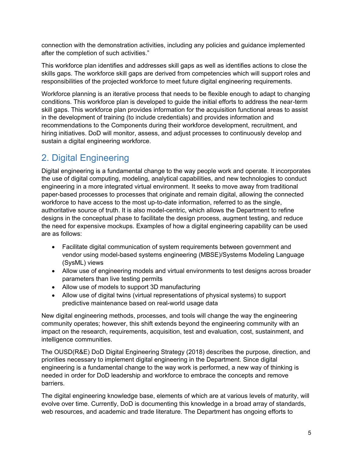connection with the demonstration activities, including any policies and guidance implemented after the completion of such activities."

This workforce plan identifies and addresses skill gaps as well as identifies actions to close the skills gaps. The workforce skill gaps are derived from competencies which will support roles and responsibilities of the projected workforce to meet future digital engineering requirements.

Workforce planning is an iterative process that needs to be flexible enough to adapt to changing conditions. This workforce plan is developed to guide the initial efforts to address the near-term skill gaps. This workforce plan provides information for the acquisition functional areas to assist in the development of training (to include credentials) and provides information and recommendations to the Components during their workforce development, recruitment, and hiring initiatives. DoD will monitor, assess, and adjust processes to continuously develop and sustain a digital engineering workforce.

# <span id="page-4-0"></span>2. Digital Engineering

Digital engineering is a fundamental change to the way people work and operate. It incorporates the use of digital computing, modeling, analytical capabilities, and new technologies to conduct engineering in a more integrated virtual environment. It seeks to move away from traditional paper-based processes to processes that originate and remain digital, allowing the connected workforce to have access to the most up-to-date information, referred to as the single, authoritative source of truth. It is also model-centric, which allows the Department to refine designs in the conceptual phase to facilitate the design process, augment testing, and reduce the need for expensive mockups. Examples of how a digital engineering capability can be used are as follows:

- Facilitate digital communication of system requirements between government and vendor using model-based systems engineering (MBSE)/Systems Modeling Language (SysML) views
- Allow use of engineering models and virtual environments to test designs across broader parameters than live testing permits
- Allow use of models to support 3D manufacturing
- Allow use of digital twins (virtual representations of physical systems) to support predictive maintenance based on real-world usage data

New digital engineering methods, processes, and tools will change the way the engineering community operates; however, this shift extends beyond the engineering community with an impact on the research, requirements, acquisition, test and evaluation, cost, sustainment, and intelligence communities.

The OUSD(R&E) DoD Digital Engineering Strategy (2018) describes the purpose, direction, and priorities necessary to implement digital engineering in the Department. Since digital engineering is a fundamental change to the way work is performed, a new way of thinking is needed in order for DoD leadership and workforce to embrace the concepts and remove barriers.

The digital engineering knowledge base, elements of which are at various levels of maturity, will evolve over time. Currently, DoD is documenting this knowledge in a broad array of standards, web resources, and academic and trade literature. The Department has ongoing efforts to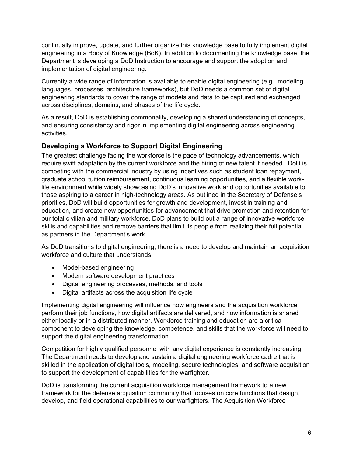continually improve, update, and further organize this knowledge base to fully implement digital engineering in a Body of Knowledge (BoK). In addition to documenting the knowledge base, the Department is developing a DoD Instruction to encourage and support the adoption and implementation of digital engineering.

Currently a wide range of information is available to enable digital engineering (e.g., modeling languages, processes, architecture frameworks), but DoD needs a common set of digital engineering standards to cover the range of models and data to be captured and exchanged across disciplines, domains, and phases of the life cycle.

As a result, DoD is establishing commonality, developing a shared understanding of concepts, and ensuring consistency and rigor in implementing digital engineering across engineering activities.

### <span id="page-5-0"></span>**Developing a Workforce to Support Digital Engineering**

The greatest challenge facing the workforce is the pace of technology advancements, which require swift adaptation by the current workforce and the hiring of new talent if needed. DoD is competing with the commercial industry by using incentives such as student loan repayment, graduate school tuition reimbursement, continuous learning opportunities, and a flexible worklife environment while widely showcasing DoD's innovative work and opportunities available to those aspiring to a career in high-technology areas. As outlined in the Secretary of Defense's priorities, DoD will build opportunities for growth and development, invest in training and education, and create new opportunities for advancement that drive promotion and retention for our total civilian and military workforce. DoD plans to build out a range of innovative workforce skills and capabilities and remove barriers that limit its people from realizing their full potential as partners in the Department's work.

As DoD transitions to digital engineering, there is a need to develop and maintain an acquisition workforce and culture that understands:

- Model-based engineering
- Modern software development practices
- Digital engineering processes, methods, and tools
- Digital artifacts across the acquisition life cycle

Implementing digital engineering will influence how engineers and the acquisition workforce perform their job functions, how digital artifacts are delivered, and how information is shared either locally or in a distributed manner. Workforce training and education are a critical component to developing the knowledge, competence, and skills that the workforce will need to support the digital engineering transformation.

Competition for highly qualified personnel with any digital experience is constantly increasing. The Department needs to develop and sustain a digital engineering workforce cadre that is skilled in the application of digital tools, modeling, secure technologies, and software acquisition to support the development of capabilities for the warfighter.

DoD is transforming the current acquisition workforce management framework to a new framework for the defense acquisition community that focuses on core functions that design, develop, and field operational capabilities to our warfighters. The Acquisition Workforce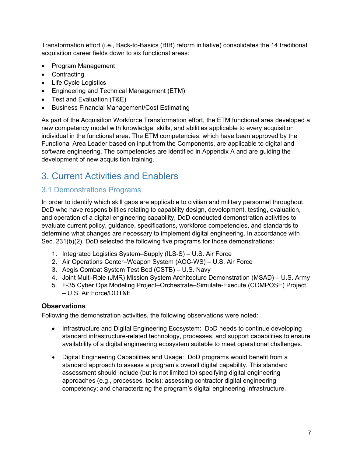Transformation effort (i.e., Back-to-Basics (BtB) reform initiative) consolidates the 14 traditional acquisition career fields down to six functional areas:

- Program Management
- Contracting
- Life Cycle Logistics
- Engineering and Technical Management (ETM)
- Test and Evaluation (T&E)
- Business Financial Management/Cost Estimating

As part of the Acquisition Workforce Transformation effort, the ETM functional area developed a new competency model with knowledge, skills, and abilities applicable to every acquisition individual in the functional area. The ETM competencies, which have been approved by the Functional Area Leader based on input from the Components, are applicable to digital and software engineering. The competencies are identified in Appendix A and are guiding the development of new acquisition training.

# <span id="page-6-0"></span>3. Current Activities and Enablers

# <span id="page-6-1"></span>3.1 Demonstrations Programs

In order to identify which skill gaps are applicable to civilian and military personnel throughout DoD who have responsibilities relating to capability design, development, testing, evaluation, and operation of a digital engineering capability, DoD conducted demonstration activities to evaluate current policy, guidance, specifications, workforce competencies, and standards to determine what changes are necessary to implement digital engineering. In accordance with Sec. 231(b)(2), DoD selected the following five programs for those demonstrations:

- 1. Integrated Logistics System–Supply (ILS-S) U.S. Air Force
- 2. Air Operations Center–Weapon System (AOC-WS) U.S. Air Force
- 3. Aegis Combat System Test Bed (CSTB) U.S. Navy
- 4. Joint Multi-Role (JMR) Mission System Architecture Demonstration (MSAD) U.S. Army
- 5. F-35 Cyber Ops Modeling Project–Orchestrate–Simulate-Execute (COMPOSE) Project – U.S. Air Force/DOT&E

### <span id="page-6-2"></span>**Observations**

Following the demonstration activities, the following observations were noted:

- Infrastructure and Digital Engineering Ecosystem: DoD needs to continue developing standard infrastructure-related technology, processes, and support capabilities to ensure availability of a digital engineering ecosystem suitable to meet operational challenges.
- Digital Engineering Capabilities and Usage: DoD programs would benefit from a standard approach to assess a program's overall digital capability. This standard assessment should include (but is not limited to) specifying digital engineering approaches (e.g., processes, tools); assessing contractor digital engineering competency; and characterizing the program's digital engineering infrastructure.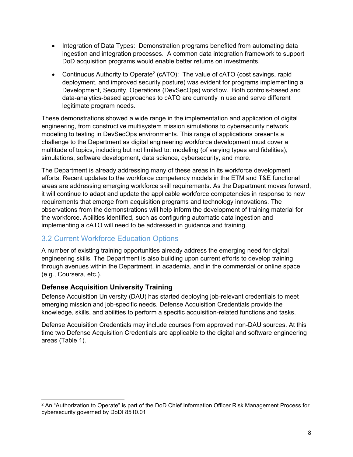- Integration of Data Types: Demonstration programs benefited from automating data ingestion and integration processes. A common data integration framework to support DoD acquisition programs would enable better returns on investments.
- Continuous Authority to Operate<sup>2</sup> (cATO): The value of cATO (cost savings, rapid deployment, and improved security posture) was evident for programs implementing a Development, Security, Operations (DevSecOps) workflow. Both controls-based and data-analytics-based approaches to cATO are currently in use and serve different legitimate program needs.

These demonstrations showed a wide range in the implementation and application of digital engineering, from constructive multisystem mission simulations to cybersecurity network modeling to testing in DevSecOps environments. This range of applications presents a challenge to the Department as digital engineering workforce development must cover a multitude of topics, including but not limited to: modeling (of varying types and fidelities), simulations, software development, data science, cybersecurity, and more.

The Department is already addressing many of these areas in its workforce development efforts. Recent updates to the workforce competency models in the ETM and T&E functional areas are addressing emerging workforce skill requirements. As the Department moves forward, it will continue to adapt and update the applicable workforce competencies in response to new requirements that emerge from acquisition programs and technology innovations. The observations from the demonstrations will help inform the development of training material for the workforce. Abilities identified, such as configuring automatic data ingestion and implementing a cATO will need to be addressed in guidance and training.

# <span id="page-7-0"></span>3.2 Current Workforce Education Options

A number of existing training opportunities already address the emerging need for digital engineering skills. The Department is also building upon current efforts to develop training through avenues within the Department, in academia, and in the commercial or online space (e.g., Coursera, etc.).

### <span id="page-7-1"></span>**Defense Acquisition University Training**

Defense Acquisition University (DAU) has started deploying job-relevant credentials to meet emerging mission and job-specific needs. Defense Acquisition Credentials provide the knowledge, skills, and abilities to perform a specific acquisition-related functions and tasks.

Defense Acquisition Credentials may include courses from approved non-DAU sources. At this time two Defense Acquisition Credentials are applicable to the digital and software engineering areas (Table 1).

<sup>&</sup>lt;sup>2</sup> An "Authorization to Operate" is part of the DoD Chief Information Officer Risk Management Process for cybersecurity governed by DoDI 8510.01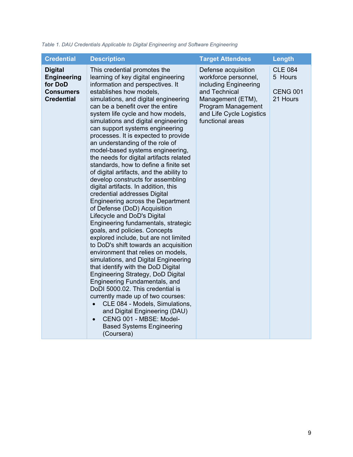| <b>Credential</b>                                                                        | <b>Description</b>                                                                                                                                                                                                                                                                                                                                                                                                                                                                                                                                                                                                                                                                                                                                                                                                                                                                                                                                                                                                                                                                                                                                                                                                                                                                                                                                                                      | <b>Target Attendees</b>                                                                                                                                                          | Length                                                   |
|------------------------------------------------------------------------------------------|-----------------------------------------------------------------------------------------------------------------------------------------------------------------------------------------------------------------------------------------------------------------------------------------------------------------------------------------------------------------------------------------------------------------------------------------------------------------------------------------------------------------------------------------------------------------------------------------------------------------------------------------------------------------------------------------------------------------------------------------------------------------------------------------------------------------------------------------------------------------------------------------------------------------------------------------------------------------------------------------------------------------------------------------------------------------------------------------------------------------------------------------------------------------------------------------------------------------------------------------------------------------------------------------------------------------------------------------------------------------------------------------|----------------------------------------------------------------------------------------------------------------------------------------------------------------------------------|----------------------------------------------------------|
| <b>Digital</b><br><b>Engineering</b><br>for DoD<br><b>Consumers</b><br><b>Credential</b> | This credential promotes the<br>learning of key digital engineering<br>information and perspectives. It<br>establishes how models,<br>simulations, and digital engineering<br>can be a benefit over the entire<br>system life cycle and how models,<br>simulations and digital engineering<br>can support systems engineering<br>processes. It is expected to provide<br>an understanding of the role of<br>model-based systems engineering,<br>the needs for digital artifacts related<br>standards, how to define a finite set<br>of digital artifacts, and the ability to<br>develop constructs for assembling<br>digital artifacts. In addition, this<br>credential addresses Digital<br>Engineering across the Department<br>of Defense (DoD) Acquisition<br>Lifecycle and DoD's Digital<br>Engineering fundamentals, strategic<br>goals, and policies. Concepts<br>explored include, but are not limited<br>to DoD's shift towards an acquisition<br>environment that relies on models,<br>simulations, and Digital Engineering<br>that identify with the DoD Digital<br>Engineering Strategy, DoD Digital<br>Engineering Fundamentals, and<br>DoDI 5000.02. This credential is<br>currently made up of two courses:<br>CLE 084 - Models, Simulations,<br>and Digital Engineering (DAU)<br>CENG 001 - MBSE: Model-<br>$\bullet$<br><b>Based Systems Engineering</b><br>(Coursera) | Defense acquisition<br>workforce personnel,<br>including Engineering<br>and Technical<br>Management (ETM),<br>Program Management<br>and Life Cycle Logistics<br>functional areas | <b>CLE 084</b><br>5 Hours<br><b>CENG 001</b><br>21 Hours |

*Table 1. DAU Credentials Applicable to Digital Engineering and Software Engineering*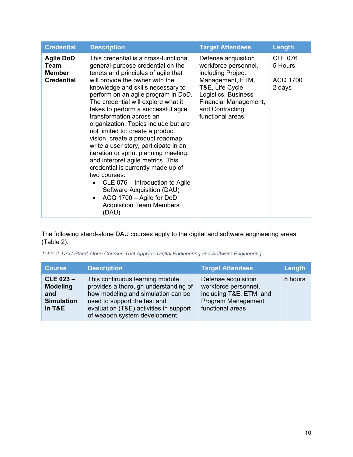| <b>Credential</b>                                              | <b>Description</b>                                                                                                                                                                                                                                                                                                                                                                                                                                                                                                                                                                                                                                                                                                                                                                                           | <b>Target Attendees</b>                                                                                                                                                                        | Length                                          |
|----------------------------------------------------------------|--------------------------------------------------------------------------------------------------------------------------------------------------------------------------------------------------------------------------------------------------------------------------------------------------------------------------------------------------------------------------------------------------------------------------------------------------------------------------------------------------------------------------------------------------------------------------------------------------------------------------------------------------------------------------------------------------------------------------------------------------------------------------------------------------------------|------------------------------------------------------------------------------------------------------------------------------------------------------------------------------------------------|-------------------------------------------------|
| <b>Agile DoD</b><br>Team<br><b>Member</b><br><b>Credential</b> | This credential is a cross-functional,<br>general-purpose credential on the<br>tenets and principles of agile that<br>will provide the owner with the<br>knowledge and skills necessary to<br>perform on an agile program in DoD.<br>The credential will explore what it<br>takes to perform a successful agile<br>transformation across an<br>organization. Topics include but are<br>not limited to: create a product<br>vision, create a product roadmap,<br>write a user story, participate in an<br>iteration or sprint planning meeting,<br>and interpret agile metrics. This<br>credential is currently made up of<br>two courses:<br>CLE 076 - Introduction to Agile<br>$\bullet$<br>Software Acquisition (DAU)<br>ACQ 1700 - Agile for DoD<br>$\bullet$<br><b>Acquisition Team Members</b><br>(DAU) | Defense acquisition<br>workforce personnel,<br>including Project<br>Management, ETM,<br>T&E, Life Cycle<br>Logistics, Business<br>Financial Management,<br>and Contracting<br>functional areas | <b>CLE 076</b><br>5 Hours<br>ACQ 1700<br>2 days |

The following stand-alone DAU courses apply to the digital and software engineering areas (Table 2).

*Table 2. DAU Stand-Alone Courses That Apply to Digital Engineering and Software Engineering*

| <b>Course</b>                                                          | <b>Description</b>                                                                                                                                                                                                       | <b>Target Attendees</b>                                                                                          | Length  |
|------------------------------------------------------------------------|--------------------------------------------------------------------------------------------------------------------------------------------------------------------------------------------------------------------------|------------------------------------------------------------------------------------------------------------------|---------|
| $CLE$ 023 $-$<br><b>Modeling</b><br>and<br><b>Simulation</b><br>in T&E | This continuous learning module<br>provides a thorough understanding of<br>how modeling and simulation can be<br>used to support the test and<br>evaluation (T&E) activities in support<br>of weapon system development. | Defense acquisition<br>workforce personnel,<br>including T&E, ETM, and<br>Program Management<br>functional areas | 8 hours |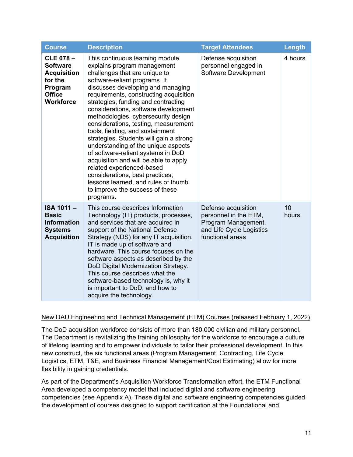| <b>Course</b>                                                                                                       | <b>Description</b>                                                                                                                                                                                                                                                                                                                                                                                                                                                                                                                                                                                                                                                                                                                        | <b>Target Attendees</b>                                                                                             | Length      |
|---------------------------------------------------------------------------------------------------------------------|-------------------------------------------------------------------------------------------------------------------------------------------------------------------------------------------------------------------------------------------------------------------------------------------------------------------------------------------------------------------------------------------------------------------------------------------------------------------------------------------------------------------------------------------------------------------------------------------------------------------------------------------------------------------------------------------------------------------------------------------|---------------------------------------------------------------------------------------------------------------------|-------------|
| <b>CLE 078-</b><br><b>Software</b><br><b>Acquisition</b><br>for the<br>Program<br><b>Office</b><br><b>Workforce</b> | This continuous learning module<br>explains program management<br>challenges that are unique to<br>software-reliant programs. It<br>discusses developing and managing<br>requirements, constructing acquisition<br>strategies, funding and contracting<br>considerations, software development<br>methodologies, cybersecurity design<br>considerations, testing, measurement<br>tools, fielding, and sustainment<br>strategies. Students will gain a strong<br>understanding of the unique aspects<br>of software-reliant systems in DoD<br>acquisition and will be able to apply<br>related experienced-based<br>considerations, best practices,<br>lessons learned, and rules of thumb<br>to improve the success of these<br>programs. | Defense acquisition<br>personnel engaged in<br>Software Development                                                 | 4 hours     |
| <b>ISA 1011-</b><br><b>Basic</b><br><b>Information</b><br><b>Systems</b><br><b>Acquisition</b>                      | This course describes Information<br>Technology (IT) products, processes,<br>and services that are acquired in<br>support of the National Defense<br>Strategy (NDS) for any IT acquisition.<br>IT is made up of software and<br>hardware. This course focuses on the<br>software aspects as described by the<br>DoD Digital Modernization Strategy.<br>This course describes what the<br>software-based technology is, why it<br>is important to DoD, and how to<br>acquire the technology.                                                                                                                                                                                                                                               | Defense acquisition<br>personnel in the ETM,<br>Program Management,<br>and Life Cycle Logistics<br>functional areas | 10<br>hours |

#### New DAU Engineering and Technical Management (ETM) Courses (released February 1, 2022)

The DoD acquisition workforce consists of more than 180,000 civilian and military personnel. The Department is revitalizing the training philosophy for the workforce to encourage a culture of lifelong learning and to empower individuals to tailor their professional development. In this new construct, the six functional areas (Program Management, Contracting, Life Cycle Logistics, ETM, T&E, and Business Financial Management/Cost Estimating) allow for more flexibility in gaining credentials.

As part of the Department's Acquisition Workforce Transformation effort, the ETM Functional Area developed a competency model that included digital and software engineering competencies (see Appendix A). These digital and software engineering competencies guided the development of courses designed to support certification at the Foundational and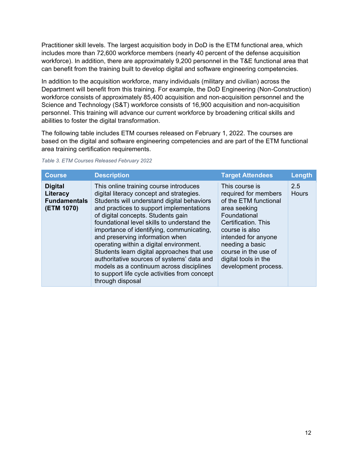Practitioner skill levels. The largest acquisition body in DoD is the ETM functional area, which includes more than 72,600 workforce members (nearly 40 percent of the defense acquisition workforce). In addition, there are approximately 9,200 personnel in the T&E functional area that can benefit from the training built to develop digital and software engineering competencies.

In addition to the acquisition workforce, many individuals (military and civilian) across the Department will benefit from this training. For example, the DoD Engineering (Non-Construction) workforce consists of approximately 85,400 acquisition and non-acquisition personnel and the Science and Technology (S&T) workforce consists of 16,900 acquisition and non-acquisition personnel. This training will advance our current workforce by broadening critical skills and abilities to foster the digital transformation.

The following table includes ETM courses released on February 1, 2022. The courses are based on the digital and software engineering competencies and are part of the ETM functional area training certification requirements.

| <b>Course</b>                                                   | <b>Description</b>                                                                                                                                                                                                                                                                                                                                                                                                                                                                                                                                                                                        | <b>Target Attendees</b>                                                                                                                                                                                                                                    | Length              |
|-----------------------------------------------------------------|-----------------------------------------------------------------------------------------------------------------------------------------------------------------------------------------------------------------------------------------------------------------------------------------------------------------------------------------------------------------------------------------------------------------------------------------------------------------------------------------------------------------------------------------------------------------------------------------------------------|------------------------------------------------------------------------------------------------------------------------------------------------------------------------------------------------------------------------------------------------------------|---------------------|
| <b>Digital</b><br>Literacy<br><b>Fundamentals</b><br>(ETM 1070) | This online training course introduces<br>digital literacy concept and strategies.<br>Students will understand digital behaviors<br>and practices to support implementations<br>of digital concepts. Students gain<br>foundational level skills to understand the<br>importance of identifying, communicating,<br>and preserving information when<br>operating within a digital environment.<br>Students learn digital approaches that use<br>authoritative sources of systems' data and<br>models as a continuum across disciplines<br>to support life cycle activities from concept<br>through disposal | This course is<br>required for members<br>of the ETM functional<br>area seeking<br>Foundational<br>Certification. This<br>course is also<br>intended for anyone<br>needing a basic<br>course in the use of<br>digital tools in the<br>development process. | 2.5<br><b>Hours</b> |

*Table 3. ETM Courses Released February 2022*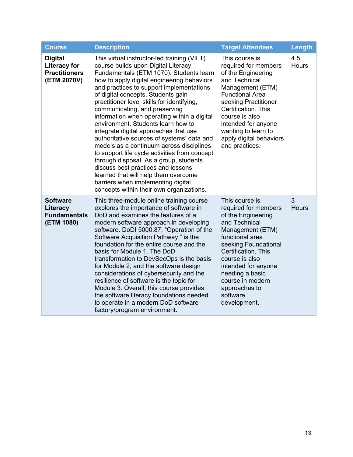| <b>Course</b>                                                                | <b>Description</b>                                                                                                                                                                                                                                                                                                                                                                                                                                                                                                                                                                                                                                                                                                                                                                                                              | <b>Target Attendees</b>                                                                                                                                                                                                                                                                          | Length              |
|------------------------------------------------------------------------------|---------------------------------------------------------------------------------------------------------------------------------------------------------------------------------------------------------------------------------------------------------------------------------------------------------------------------------------------------------------------------------------------------------------------------------------------------------------------------------------------------------------------------------------------------------------------------------------------------------------------------------------------------------------------------------------------------------------------------------------------------------------------------------------------------------------------------------|--------------------------------------------------------------------------------------------------------------------------------------------------------------------------------------------------------------------------------------------------------------------------------------------------|---------------------|
| <b>Digital</b><br><b>Literacy for</b><br><b>Practitioners</b><br>(ETM 2070V) | This virtual instructor-led training (VILT)<br>course builds upon Digital Literacy<br>Fundamentals (ETM 1070). Students learn<br>how to apply digital engineering behaviors<br>and practices to support implementations<br>of digital concepts. Students gain<br>practitioner level skills for identifying,<br>communicating, and preserving<br>information when operating within a digital<br>environment. Students learn how to<br>integrate digital approaches that use<br>authoritative sources of systems' data and<br>models as a continuum across disciplines<br>to support life cycle activities from concept<br>through disposal. As a group, students<br>discuss best practices and lessons<br>learned that will help them overcome<br>barriers when implementing digital<br>concepts within their own organizations. | This course is<br>required for members<br>of the Engineering<br>and Technical<br>Management (ETM)<br><b>Functional Area</b><br>seeking Practitioner<br>Certification. This<br>course is also<br>intended for anyone<br>wanting to learn to<br>apply digital behaviors<br>and practices.          | 4.5<br><b>Hours</b> |
| <b>Software</b><br>Literacy<br><b>Fundamentals</b><br>(ETM 1080)             | This three-module online training course<br>explores the importance of software in<br>DoD and examines the features of a<br>modern software approach in developing<br>software. DoDI 5000.87, "Operation of the<br>Software Acquisition Pathway," is the<br>foundation for the entire course and the<br>basis for Module 1. The DoD<br>transformation to DevSecOps is the basis<br>for Module 2, and the software design<br>considerations of cybersecurity and the<br>resilience of software is the topic for<br>Module 3. Overall, this course provides<br>the software literacy foundations needed<br>to operate in a modern DoD software<br>factory/program environment.                                                                                                                                                    | This course is<br>required for members<br>of the Engineering<br>and Technical<br>Management (ETM)<br>functional area<br>seeking Foundational<br>Certification. This<br>course is also<br>intended for anyone<br>needing a basic<br>course in modern<br>approaches to<br>software<br>development. | 3<br><b>Hours</b>   |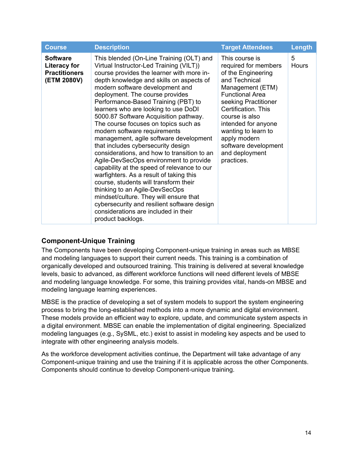| <b>Course</b>                                                          | <b>Description</b>                                                                                                                                                                                                                                                                                                                                                                                                                                                                                                                                                                                                                                                                                                                                                                                                                                                                                                                                     | <b>Target Attendees</b>                                                                                                                                                                                                                                                                                            | <b>Length</b>     |
|------------------------------------------------------------------------|--------------------------------------------------------------------------------------------------------------------------------------------------------------------------------------------------------------------------------------------------------------------------------------------------------------------------------------------------------------------------------------------------------------------------------------------------------------------------------------------------------------------------------------------------------------------------------------------------------------------------------------------------------------------------------------------------------------------------------------------------------------------------------------------------------------------------------------------------------------------------------------------------------------------------------------------------------|--------------------------------------------------------------------------------------------------------------------------------------------------------------------------------------------------------------------------------------------------------------------------------------------------------------------|-------------------|
| <b>Software</b><br>Literacy for<br><b>Practitioners</b><br>(ETM 2080V) | This blended (On-Line Training (OLT) and<br>Virtual Instructor-Led Training (VILT))<br>course provides the learner with more in-<br>depth knowledge and skills on aspects of<br>modern software development and<br>deployment. The course provides<br>Performance-Based Training (PBT) to<br>learners who are looking to use DoDI<br>5000.87 Software Acquisition pathway.<br>The course focuses on topics such as<br>modern software requirements<br>management, agile software development<br>that includes cybersecurity design<br>considerations, and how to transition to an<br>Agile-DevSecOps environment to provide<br>capability at the speed of relevance to our<br>warfighters. As a result of taking this<br>course, students will transform their<br>thinking to an Agile-DevSecOps<br>mindset/culture. They will ensure that<br>cybersecurity and resilient software design<br>considerations are included in their<br>product backlogs. | This course is<br>required for members<br>of the Engineering<br>and Technical<br>Management (ETM)<br><b>Functional Area</b><br>seeking Practitioner<br>Certification. This<br>course is also<br>intended for anyone<br>wanting to learn to<br>apply modern<br>software development<br>and deployment<br>practices. | 5<br><b>Hours</b> |

### <span id="page-13-0"></span>**Component-Unique Training**

The Components have been developing Component-unique training in areas such as MBSE and modeling languages to support their current needs. This training is a combination of organically developed and outsourced training. This training is delivered at several knowledge levels, basic to advanced, as different workforce functions will need different levels of MBSE and modeling language knowledge. For some, this training provides vital, hands-on MBSE and modeling language learning experiences.

MBSE is the practice of developing a set of system models to support the system engineering process to bring the long-established methods into a more dynamic and digital environment. These models provide an efficient way to explore, update, and communicate system aspects in a digital environment. MBSE can enable the implementation of digital engineering. Specialized modeling languages (e.g., SySML, etc.) exist to assist in modeling key aspects and be used to integrate with other engineering analysis models.

As the workforce development activities continue, the Department will take advantage of any Component-unique training and use the training if it is applicable across the other Components. Components should continue to develop Component-unique training.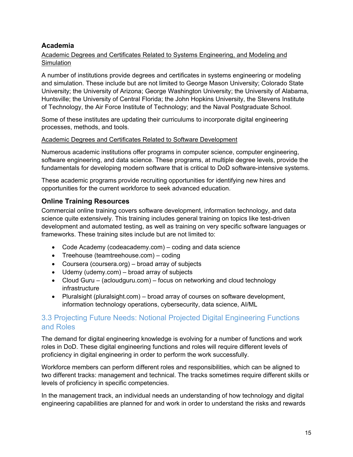### <span id="page-14-0"></span>**Academia**

### Academic Degrees and Certificates Related to Systems Engineering, and Modeling and **Simulation**

A number of institutions provide degrees and certificates in systems engineering or modeling and simulation. These include but are not limited to George Mason University; Colorado State University; the University of Arizona; George Washington University; the University of Alabama, Huntsville; the University of Central Florida; the John Hopkins University, the Stevens Institute of Technology, the Air Force Institute of Technology; and the Naval Postgraduate School.

Some of these institutes are updating their curriculums to incorporate digital engineering processes, methods, and tools.

### Academic Degrees and Certificates Related to Software Development

Numerous academic institutions offer programs in computer science, computer engineering, software engineering, and data science. These programs, at multiple degree levels, provide the fundamentals for developing modern software that is critical to DoD software-intensive systems.

These academic programs provide recruiting opportunities for identifying new hires and opportunities for the current workforce to seek advanced education.

### <span id="page-14-1"></span>**Online Training Resources**

Commercial online training covers software development, information technology, and data science quite extensively. This training includes general training on topics like test-driven development and automated testing, as well as training on very specific software languages or frameworks. These training sites include but are not limited to:

- Code Academy (codeacademy.com) coding and data science
- Treehouse (teamtreehouse.com) coding
- Coursera (coursera.org) broad array of subjects
- Udemy (udemy.com) broad array of subjects
- Cloud Guru (acloudguru.com) focus on networking and cloud technology infrastructure
- Pluralsight (pluralsight.com) broad array of courses on software development, information technology operations, cybersecurity, data science, AI/ML

# <span id="page-14-2"></span>3.3 Projecting Future Needs: Notional Projected Digital Engineering Functions and Roles

The demand for digital engineering knowledge is evolving for a number of functions and work roles in DoD. These digital engineering functions and roles will require different levels of proficiency in digital engineering in order to perform the work successfully.

Workforce members can perform different roles and responsibilities, which can be aligned to two different tracks: management and technical. The tracks sometimes require different skills or levels of proficiency in specific competencies.

In the management track, an individual needs an understanding of how technology and digital engineering capabilities are planned for and work in order to understand the risks and rewards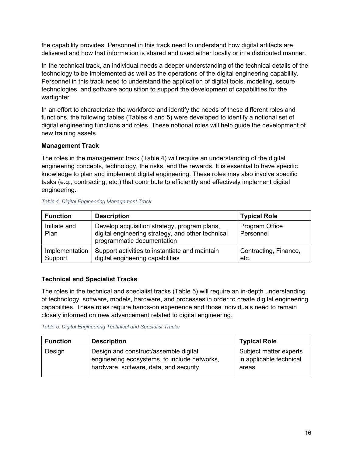the capability provides. Personnel in this track need to understand how digital artifacts are delivered and how that information is shared and used either locally or in a distributed manner.

In the technical track, an individual needs a deeper understanding of the technical details of the technology to be implemented as well as the operations of the digital engineering capability. Personnel in this track need to understand the application of digital tools, modeling, secure technologies, and software acquisition to support the development of capabilities for the warfighter.

In an effort to characterize the workforce and identify the needs of these different roles and functions, the following tables (Tables 4 and 5) were developed to identify a notional set of digital engineering functions and roles. These notional roles will help guide the development of new training assets.

### **Management Track**

The roles in the management track (Table 4) will require an understanding of the digital engineering concepts, technology, the risks, and the rewards. It is essential to have specific knowledge to plan and implement digital engineering. These roles may also involve specific tasks (e.g., contracting, etc.) that contribute to efficiently and effectively implement digital engineering.

| <b>Function</b>           | <b>Description</b>                                                                                                              | <b>Typical Role</b>           |
|---------------------------|---------------------------------------------------------------------------------------------------------------------------------|-------------------------------|
| Initiate and<br>Plan      | Develop acquisition strategy, program plans,<br>digital engineering strategy, and other technical<br>programmatic documentation | Program Office<br>Personnel   |
| Implementation<br>Support | Support activities to instantiate and maintain<br>digital engineering capabilities                                              | Contracting, Finance,<br>etc. |

#### *Table 4. Digital Engineering Management Track*

#### **Technical and Specialist Tracks**

The roles in the technical and specialist tracks (Table 5) will require an in-depth understanding of technology, software, models, hardware, and processes in order to create digital engineering capabilities. These roles require hands-on experience and those individuals need to remain closely informed on new advancement related to digital engineering.

#### *Table 5. Digital Engineering Technical and Specialist Tracks*

| <b>Function</b> | <b>Description</b>                                                                                                              | <b>Typical Role</b>                                        |
|-----------------|---------------------------------------------------------------------------------------------------------------------------------|------------------------------------------------------------|
| Design          | Design and construct/assemble digital<br>engineering ecosystems, to include networks,<br>hardware, software, data, and security | Subject matter experts<br>in applicable technical<br>areas |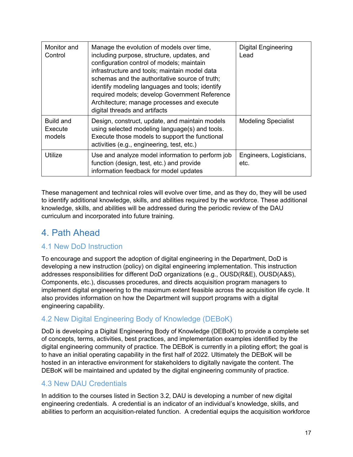| Monitor and<br>Control         | Manage the evolution of models over time,<br>including purpose, structure, updates, and<br>configuration control of models; maintain<br>infrastructure and tools; maintain model data<br>schemas and the authoritative source of truth;<br>identify modeling languages and tools; identify<br>required models; develop Government Reference<br>Architecture; manage processes and execute<br>digital threads and artifacts | <b>Digital Engineering</b><br>Lead |
|--------------------------------|----------------------------------------------------------------------------------------------------------------------------------------------------------------------------------------------------------------------------------------------------------------------------------------------------------------------------------------------------------------------------------------------------------------------------|------------------------------------|
| Build and<br>Execute<br>models | Design, construct, update, and maintain models<br>using selected modeling language(s) and tools.<br>Execute those models to support the functional<br>activities (e.g., engineering, test, etc.)                                                                                                                                                                                                                           | <b>Modeling Specialist</b>         |
| Utilize                        | Use and analyze model information to perform job<br>function (design, test, etc.) and provide<br>information feedback for model updates                                                                                                                                                                                                                                                                                    | Engineers, Logisticians,<br>etc.   |

These management and technical roles will evolve over time, and as they do, they will be used to identify additional knowledge, skills, and abilities required by the workforce. These additional knowledge, skills, and abilities will be addressed during the periodic review of the DAU curriculum and incorporated into future training.

# <span id="page-16-0"></span>4. Path Ahead

# <span id="page-16-1"></span>4.1 New DoD Instruction

To encourage and support the adoption of digital engineering in the Department, DoD is developing a new instruction (policy) on digital engineering implementation. This instruction addresses responsibilities for different DoD organizations (e.g., OUSD(R&E), OUSD(A&S), Components, etc.), discusses procedures, and directs acquisition program managers to implement digital engineering to the maximum extent feasible across the acquisition life cycle. It also provides information on how the Department will support programs with a digital engineering capability.

# <span id="page-16-2"></span>4.2 New Digital Engineering Body of Knowledge (DEBoK)

DoD is developing a Digital Engineering Body of Knowledge (DEBoK) to provide a complete set of concepts, terms, activities, best practices, and implementation examples identified by the digital engineering community of practice. The DEBoK is currently in a piloting effort; the goal is to have an initial operating capability in the first half of 2022. Ultimately the DEBoK will be hosted in an interactive environment for stakeholders to digitally navigate the content. The DEBoK will be maintained and updated by the digital engineering community of practice.

### <span id="page-16-3"></span>4.3 New DAU Credentials

In addition to the courses listed in Section 3.2, DAU is developing a number of new digital engineering credentials. A credential is an indicator of an individual's knowledge, skills, and abilities to perform an acquisition-related function. A credential equips the acquisition workforce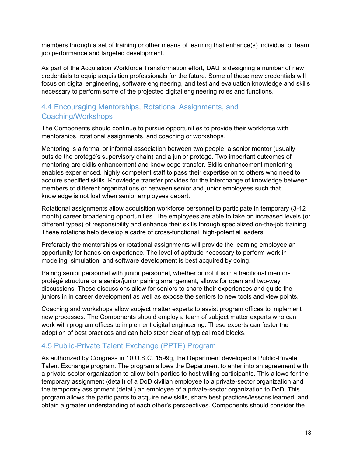members through a set of training or other means of learning that enhance(s) individual or team job performance and targeted development.

As part of the Acquisition Workforce Transformation effort, DAU is designing a number of new credentials to equip acquisition professionals for the future. Some of these new credentials will focus on digital engineering, software engineering, and test and evaluation knowledge and skills necessary to perform some of the projected digital engineering roles and functions.

# <span id="page-17-0"></span>4.4 Encouraging Mentorships, Rotational Assignments, and Coaching/Workshops

The Components should continue to pursue opportunities to provide their workforce with mentorships, rotational assignments, and coaching or workshops.

Mentoring is a formal or informal association between two people, a senior mentor (usually outside the protégé's supervisory chain) and a junior protégé. Two important outcomes of mentoring are skills enhancement and knowledge transfer. Skills enhancement mentoring enables experienced, highly competent staff to pass their expertise on to others who need to acquire specified skills. Knowledge transfer provides for the interchange of knowledge between members of different organizations or between senior and junior employees such that knowledge is not lost when senior employees depart.

Rotational assignments allow acquisition workforce personnel to participate in temporary (3-12 month) career broadening opportunities. The employees are able to take on increased levels (or different types) of responsibility and enhance their skills through specialized on-the-job training. These rotations help develop a cadre of cross-functional, high-potential leaders.

Preferably the mentorships or rotational assignments will provide the learning employee an opportunity for hands-on experience. The level of aptitude necessary to perform work in modeling, simulation, and software development is best acquired by doing.

Pairing senior personnel with junior personnel, whether or not it is in a traditional mentorprotégé structure or a senior/junior pairing arrangement, allows for open and two-way discussions. These discussions allow for seniors to share their experiences and guide the juniors in in career development as well as expose the seniors to new tools and view points.

Coaching and workshops allow subject matter experts to assist program offices to implement new processes. The Components should employ a team of subject matter experts who can work with program offices to implement digital engineering. These experts can foster the adoption of best practices and can help steer clear of typical road blocks.

### <span id="page-17-1"></span>4.5 Public-Private Talent Exchange (PPTE) Program

As authorized by Congress in 10 U.S.C. 1599g, the Department developed a Public-Private Talent Exchange program. The program allows the Department to enter into an agreement with a private-sector organization to allow both parties to host willing participants. This allows for the temporary assignment (detail) of a DoD civilian employee to a private-sector organization and the temporary assignment (detail) an employee of a private-sector organization to DoD. This program allows the participants to acquire new skills, share best practices/lessons learned, and obtain a greater understanding of each other's perspectives. Components should consider the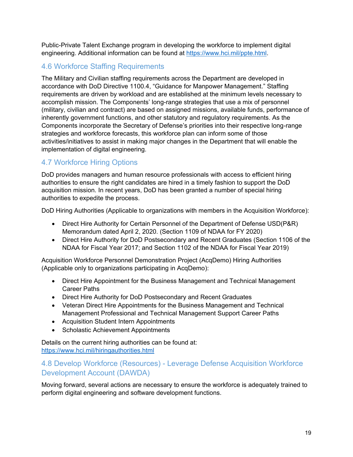Public-Private Talent Exchange program in developing the workforce to implement digital engineering. Additional information can be found at [https://www.hci.mil/ppte.html.](https://www.hci.mil/ppte.html)

# <span id="page-18-0"></span>4.6 Workforce Staffing Requirements

The Military and Civilian staffing requirements across the Department are developed in accordance with DoD Directive 1100.4, "Guidance for Manpower Management." Staffing requirements are driven by workload and are established at the minimum levels necessary to accomplish mission. The Components' long-range strategies that use a mix of personnel (military, civilian and contract) are based on assigned missions, available funds, performance of inherently government functions, and other statutory and regulatory requirements. As the Components incorporate the Secretary of Defense's priorities into their respective long-range strategies and workforce forecasts, this workforce plan can inform some of those activities/initiatives to assist in making major changes in the Department that will enable the implementation of digital engineering.

# <span id="page-18-1"></span>4.7 Workforce Hiring Options

DoD provides managers and human resource professionals with access to efficient hiring authorities to ensure the right candidates are hired in a timely fashion to support the DoD acquisition mission. In recent years, DoD has been granted a number of special hiring authorities to expedite the process.

DoD Hiring Authorities (Applicable to organizations with members in the Acquisition Workforce):

- Direct Hire Authority for Certain Personnel of the Department of Defense USD(P&R) Memorandum dated April 2, 2020. (Section 1109 of NDAA for FY 2020)
- Direct Hire Authority for DoD Postsecondary and Recent Graduates (Section 1106 of the NDAA for Fiscal Year 2017; and Section 1102 of the NDAA for Fiscal Year 2019)

Acquisition Workforce Personnel Demonstration Project (AcqDemo) Hiring Authorities (Applicable only to organizations participating in AcqDemo):

- Direct Hire Appointment for the Business Management and Technical Management Career Paths
- Direct Hire Authority for DoD Postsecondary and Recent Graduates
- Veteran Direct Hire Appointments for the Business Management and Technical Management Professional and Technical Management Support Career Paths
- Acquisition Student Intern Appointments
- Scholastic Achievement Appointments

Details on the current hiring authorities can be found at: <https://www.hci.mil/hiringauthorities.html>

# <span id="page-18-2"></span>4.8 Develop Workforce (Resources) - Leverage Defense Acquisition Workforce Development Account (DAWDA)

Moving forward, several actions are necessary to ensure the workforce is adequately trained to perform digital engineering and software development functions.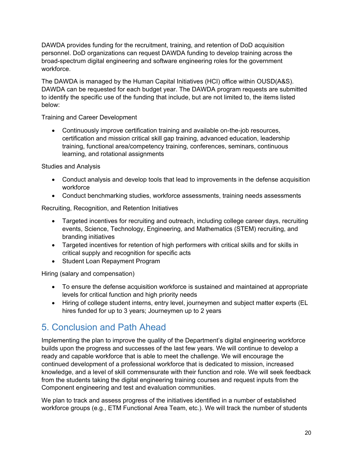DAWDA provides funding for the recruitment, training, and retention of DoD acquisition personnel. DoD organizations can request DAWDA funding to develop training across the broad-spectrum digital engineering and software engineering roles for the government workforce.

The DAWDA is managed by the Human Capital Initiatives (HCI) office within OUSD(A&S). DAWDA can be requested for each budget year. The DAWDA program requests are submitted to identify the specific use of the funding that include, but are not limited to, the items listed below:

Training and Career Development

 Continuously improve certification training and available on-the-job resources, certification and mission critical skill gap training, advanced education, leadership training, functional area/competency training, conferences, seminars, continuous learning, and rotational assignments

Studies and Analysis

- Conduct analysis and develop tools that lead to improvements in the defense acquisition workforce
- Conduct benchmarking studies, workforce assessments, training needs assessments

Recruiting, Recognition, and Retention Initiatives

- Targeted incentives for recruiting and outreach, including college career days, recruiting events, Science, Technology, Engineering, and Mathematics (STEM) recruiting, and branding initiatives
- Targeted incentives for retention of high performers with critical skills and for skills in critical supply and recognition for specific acts
- Student Loan Repayment Program

Hiring (salary and compensation)

- To ensure the defense acquisition workforce is sustained and maintained at appropriate levels for critical function and high priority needs
- Hiring of college student interns, entry level, journeymen and subject matter experts (EL hires funded for up to 3 years; Journeymen up to 2 years

# <span id="page-19-0"></span>5. Conclusion and Path Ahead

Implementing the plan to improve the quality of the Department's digital engineering workforce builds upon the progress and successes of the last few years. We will continue to develop a ready and capable workforce that is able to meet the challenge. We will encourage the continued development of a professional workforce that is dedicated to mission, increased knowledge, and a level of skill commensurate with their function and role. We will seek feedback from the students taking the digital engineering training courses and request inputs from the Component engineering and test and evaluation communities.

We plan to track and assess progress of the initiatives identified in a number of established workforce groups (e.g., ETM Functional Area Team, etc.). We will track the number of students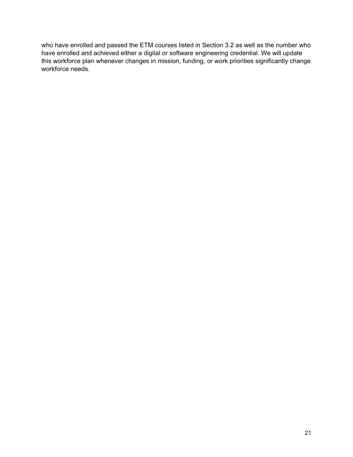who have enrolled and passed the ETM courses listed in Section 3.2 as well as the number who have enrolled and achieved either a digital or software engineering credential. We will update this workforce plan whenever changes in mission, funding, or work priorities significantly change workforce needs.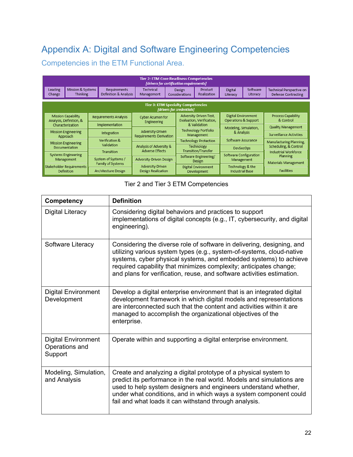# <span id="page-21-0"></span>Appendix A: Digital and Software Engineering Competencies

Competencies in the ETM Functional Area.

| <b>Tier 2: ETM Core Readiness Competencies</b><br>[drivers for certification requirements] |                                                                                                                                                                                       |  |                                              |                                                    |  |                                        |                                                    |                            |                                 |                                                 |                                  |                           |
|--------------------------------------------------------------------------------------------|---------------------------------------------------------------------------------------------------------------------------------------------------------------------------------------|--|----------------------------------------------|----------------------------------------------------|--|----------------------------------------|----------------------------------------------------|----------------------------|---------------------------------|-------------------------------------------------|----------------------------------|---------------------------|
| Leading<br>Change                                                                          | Mission & Systems<br><b>Thinking</b>                                                                                                                                                  |  | <b>Requirements</b><br>Definition & Analysis | Technical<br>Management                            |  | Design<br>Considerations               | <b>Product</b><br>Realization                      | <b>Digital</b><br>Literacy | Software<br>Literacy            | Technical Perspective on<br>Defense Contracting |                                  |                           |
| <b>Tier 3: ETM Specialty Competencies</b><br>[drivers for credentials]                     |                                                                                                                                                                                       |  |                                              |                                                    |  |                                        |                                                    |                            |                                 |                                                 |                                  |                           |
|                                                                                            | Adversity-Driven Test,<br><b>Mission Capability</b><br><b>Requirements Analysis</b><br><b>Cyber Acumen for</b><br>Evaluation, Verification,<br>Analysis, Definition, &<br>Engineering |  |                                              |                                                    |  |                                        | <b>Digital Environment</b><br>Operations & Support |                            | Process Capability<br>& Control |                                                 |                                  |                           |
|                                                                                            | Characterization                                                                                                                                                                      |  | Implementation                               |                                                    |  | & Validation                           |                                                    |                            |                                 | Modeling, Simulation,                           |                                  | <b>Quality Management</b> |
|                                                                                            | <b>Mission Engineering</b><br>Approach                                                                                                                                                |  | Integration                                  | Adversity-Driven<br><b>Requirements Derivation</b> |  | Technology Portfolio<br>Management     |                                                    | & Analysis                 |                                 | <b>Surveillance Activities</b>                  |                                  |                           |
|                                                                                            | <b>Mission Engineering</b>                                                                                                                                                            |  | Verification &                               |                                                    |  |                                        | <b>Technology Protection</b>                       | Software Assurance         |                                 | Manufacturing Planning,                         |                                  |                           |
|                                                                                            | <b>Documentation</b>                                                                                                                                                                  |  | Validation                                   | Analysis of Adversity &                            |  |                                        | Technology                                         | <b>DevSecOps</b>           |                                 | Scheduling, & Control                           |                                  |                           |
|                                                                                            | <b>Systems Engineering</b><br>Management                                                                                                                                              |  | Transition                                   | <b>Adverse Effects</b><br>Adversity-Driven Design  |  |                                        | Transition/Transfer                                |                            | Software Configuration          |                                                 | Industrial Workforce<br>Planning |                           |
|                                                                                            |                                                                                                                                                                                       |  | System of Systems /                          |                                                    |  | Software Engineering/<br><b>Design</b> |                                                    | Management                 |                                 | <b>Materials Management</b>                     |                                  |                           |
|                                                                                            | <b>Stakeholder Requirements</b>                                                                                                                                                       |  | Family of Systems                            | Adversity-Driven                                   |  | Digital Environment                    |                                                    | Technology & the           |                                 |                                                 |                                  |                           |
|                                                                                            | <b>Definition</b>                                                                                                                                                                     |  | Architecture Design                          | Design Realization                                 |  |                                        | <b>Development</b>                                 | <b>Industrial Base</b>     |                                 | <b>Facilities</b>                               |                                  |                           |

Tier 2 and Tier 3 ETM Competencies

| Competency                                              | <b>Definition</b>                                                                                                                                                                                                                                                                                                                                                    |
|---------------------------------------------------------|----------------------------------------------------------------------------------------------------------------------------------------------------------------------------------------------------------------------------------------------------------------------------------------------------------------------------------------------------------------------|
| Digital Literacy                                        | Considering digital behaviors and practices to support<br>implementations of digital concepts (e.g., IT, cybersecurity, and digital<br>engineering).                                                                                                                                                                                                                 |
| Software Literacy                                       | Considering the diverse role of software in delivering, designing, and<br>utilizing various system types (e.g., system-of-systems, cloud-native<br>systems, cyber physical systems, and embedded systems) to achieve<br>required capability that minimizes complexity; anticipates change;<br>and plans for verification, reuse, and software activities estimation. |
| <b>Digital Environment</b><br>Development               | Develop a digital enterprise environment that is an integrated digital<br>development framework in which digital models and representations<br>are interconnected such that the content and activities within it are<br>managed to accomplish the organizational objectives of the<br>enterprise.                                                                    |
| <b>Digital Environment</b><br>Operations and<br>Support | Operate within and supporting a digital enterprise environment.                                                                                                                                                                                                                                                                                                      |
| Modeling, Simulation,<br>and Analysis                   | Create and analyzing a digital prototype of a physical system to<br>predict its performance in the real world. Models and simulations are<br>used to help system designers and engineers understand whether,<br>under what conditions, and in which ways a system component could<br>fail and what loads it can withstand through analysis.                          |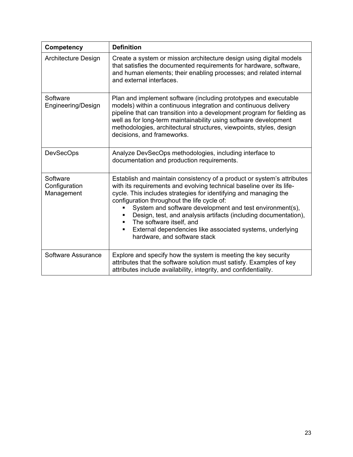| Competency                              | <b>Definition</b>                                                                                                                                                                                                                                                                                                                                                                                                                                                                                                              |
|-----------------------------------------|--------------------------------------------------------------------------------------------------------------------------------------------------------------------------------------------------------------------------------------------------------------------------------------------------------------------------------------------------------------------------------------------------------------------------------------------------------------------------------------------------------------------------------|
| <b>Architecture Design</b>              | Create a system or mission architecture design using digital models<br>that satisfies the documented requirements for hardware, software,<br>and human elements; their enabling processes; and related internal<br>and external interfaces.                                                                                                                                                                                                                                                                                    |
| Software<br>Engineering/Design          | Plan and implement software (including prototypes and executable<br>models) within a continuous integration and continuous delivery<br>pipeline that can transition into a development program for fielding as<br>well as for long-term maintainability using software development<br>methodologies, architectural structures, viewpoints, styles, design<br>decisions, and frameworks.                                                                                                                                        |
| <b>DevSecOps</b>                        | Analyze DevSecOps methodologies, including interface to<br>documentation and production requirements.                                                                                                                                                                                                                                                                                                                                                                                                                          |
| Software<br>Configuration<br>Management | Establish and maintain consistency of a product or system's attributes<br>with its requirements and evolving technical baseline over its life-<br>cycle. This includes strategies for identifying and managing the<br>configuration throughout the life cycle of:<br>System and software development and test environment(s),<br>Design, test, and analysis artifacts (including documentation),<br>The software itself, and<br>External dependencies like associated systems, underlying<br>٠<br>hardware, and software stack |
| Software Assurance                      | Explore and specify how the system is meeting the key security<br>attributes that the software solution must satisfy. Examples of key<br>attributes include availability, integrity, and confidentiality.                                                                                                                                                                                                                                                                                                                      |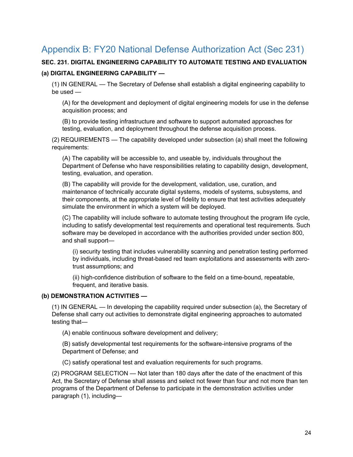# <span id="page-23-0"></span>Appendix B: FY20 National Defense Authorization Act (Sec 231)

### **SEC. 231. DIGITAL ENGINEERING CAPABILITY TO AUTOMATE TESTING AND EVALUATION (a) DIGITAL ENGINEERING CAPABILITY —**

(1) IN GENERAL — The Secretary of Defense shall establish a digital engineering capability to be used —

(A) for the development and deployment of digital engineering models for use in the defense acquisition process; and

(B) to provide testing infrastructure and software to support automated approaches for testing, evaluation, and deployment throughout the defense acquisition process.

(2) REQUIREMENTS — The capability developed under subsection (a) shall meet the following requirements:

(A) The capability will be accessible to, and useable by, individuals throughout the Department of Defense who have responsibilities relating to capability design, development, testing, evaluation, and operation.

(B) The capability will provide for the development, validation, use, curation, and maintenance of technically accurate digital systems, models of systems, subsystems, and their components, at the appropriate level of fidelity to ensure that test activities adequately simulate the environment in which a system will be deployed.

(C) The capability will include software to automate testing throughout the program life cycle, including to satisfy developmental test requirements and operational test requirements. Such software may be developed in accordance with the authorities provided under section 800, and shall support—

(i) security testing that includes vulnerability scanning and penetration testing performed by individuals, including threat-based red team exploitations and assessments with zerotrust assumptions; and

(ii) high-confidence distribution of software to the field on a time-bound, repeatable, frequent, and iterative basis.

#### **(b) DEMONSTRATION ACTIVITIES —**

(1) IN GENERAL — In developing the capability required under subsection (a), the Secretary of Defense shall carry out activities to demonstrate digital engineering approaches to automated testing that—

(A) enable continuous software development and delivery;

(B) satisfy developmental test requirements for the software-intensive programs of the Department of Defense; and

(C) satisfy operational test and evaluation requirements for such programs.

(2) PROGRAM SELECTION — Not later than 180 days after the date of the enactment of this Act, the Secretary of Defense shall assess and select not fewer than four and not more than ten programs of the Department of Defense to participate in the demonstration activities under paragraph (1), including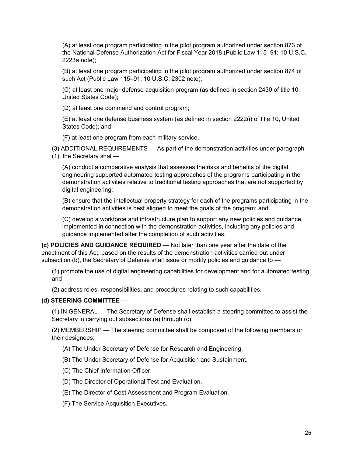(A) at least one program participating in the pilot program authorized under section 873 of the National Defense Authorization Act for Fiscal Year 2018 (Public Law 115–91; 10 U.S.C. 2223a note);

(B) at least one program participating in the pilot program authorized under section 874 of such Act (Public Law 115–91; 10 U.S.C. 2302 note);

(C) at least one major defense acquisition program (as defined in section 2430 of title 10, United States Code);

(D) at least one command and control program;

(E) at least one defense business system (as defined in section 2222(i) of title 10, United States Code); and

(F) at least one program from each military service.

(3) ADDITIONAL REQUIREMENTS — As part of the demonstration activities under paragraph (1), the Secretary shall—

(A) conduct a comparative analysis that assesses the risks and benefits of the digital engineering supported automated testing approaches of the programs participating in the demonstration activities relative to traditional testing approaches that are not supported by digital engineering;

(B) ensure that the intellectual property strategy for each of the programs participating in the demonstration activities is best aligned to meet the goals of the program; and

(C) develop a workforce and infrastructure plan to support any new policies and guidance implemented in connection with the demonstration activities, including any policies and guidance implemented after the completion of such activities.

**(c) POLICIES AND GUIDANCE REQUIRED** — Not later than one year after the date of the enactment of this Act, based on the results of the demonstration activities carried out under subsection (b), the Secretary of Defense shall issue or modify policies and guidance to  $-$ 

(1) promote the use of digital engineering capabilities for development and for automated testing; and

(2) address roles, responsibilities, and procedures relating to such capabilities.

#### **(d) STEERING COMMITTEE —**

(1) IN GENERAL — The Secretary of Defense shall establish a steering committee to assist the Secretary in carrying out subsections (a) through (c).

(2) MEMBERSHIP — The steering committee shall be composed of the following members or their designees:

- (A) The Under Secretary of Defense for Research and Engineering.
- (B) The Under Secretary of Defense for Acquisition and Sustainment.
- (C) The Chief Information Officer.
- (D) The Director of Operational Test and Evaluation.
- (E) The Director of Cost Assessment and Program Evaluation.
- (F) The Service Acquisition Executives.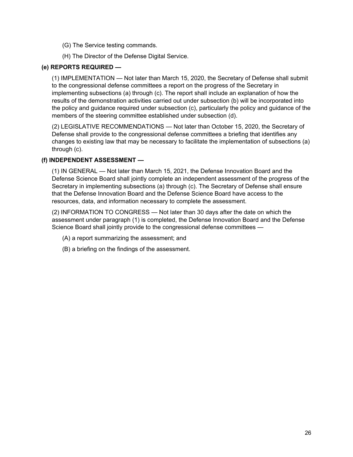- (G) The Service testing commands.
- (H) The Director of the Defense Digital Service.

#### **(e) REPORTS REQUIRED —**

(1) IMPLEMENTATION — Not later than March 15, 2020, the Secretary of Defense shall submit to the congressional defense committees a report on the progress of the Secretary in implementing subsections (a) through (c). The report shall include an explanation of how the results of the demonstration activities carried out under subsection (b) will be incorporated into the policy and guidance required under subsection (c), particularly the policy and guidance of the members of the steering committee established under subsection (d).

(2) LEGISLATIVE RECOMMENDATIONS — Not later than October 15, 2020, the Secretary of Defense shall provide to the congressional defense committees a briefing that identifies any changes to existing law that may be necessary to facilitate the implementation of subsections (a) through (c).

#### **(f) INDEPENDENT ASSESSMENT —**

(1) IN GENERAL — Not later than March 15, 2021, the Defense Innovation Board and the Defense Science Board shall jointly complete an independent assessment of the progress of the Secretary in implementing subsections (a) through (c). The Secretary of Defense shall ensure that the Defense Innovation Board and the Defense Science Board have access to the resources, data, and information necessary to complete the assessment.

(2) INFORMATION TO CONGRESS — Not later than 30 days after the date on which the assessment under paragraph (1) is completed, the Defense Innovation Board and the Defense Science Board shall jointly provide to the congressional defense committees —

- (A) a report summarizing the assessment; and
- (B) a briefing on the findings of the assessment.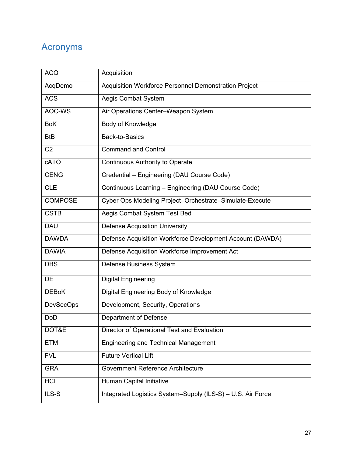# <span id="page-26-0"></span>Acronyms

| <b>ACQ</b>       | Acquisition                                                 |
|------------------|-------------------------------------------------------------|
| AcqDemo          | Acquisition Workforce Personnel Demonstration Project       |
| <b>ACS</b>       | Aegis Combat System                                         |
| AOC-WS           | Air Operations Center-Weapon System                         |
| <b>BoK</b>       | Body of Knowledge                                           |
| <b>BtB</b>       | Back-to-Basics                                              |
| C <sub>2</sub>   | <b>Command and Control</b>                                  |
| cATO             | <b>Continuous Authority to Operate</b>                      |
| <b>CENG</b>      | Credential - Engineering (DAU Course Code)                  |
| <b>CLE</b>       | Continuous Learning - Engineering (DAU Course Code)         |
| <b>COMPOSE</b>   | Cyber Ops Modeling Project-Orchestrate-Simulate-Execute     |
| <b>CSTB</b>      | Aegis Combat System Test Bed                                |
| <b>DAU</b>       | <b>Defense Acquisition University</b>                       |
| <b>DAWDA</b>     | Defense Acquisition Workforce Development Account (DAWDA)   |
| <b>DAWIA</b>     | Defense Acquisition Workforce Improvement Act               |
| <b>DBS</b>       | Defense Business System                                     |
| DE               | <b>Digital Engineering</b>                                  |
| <b>DEBoK</b>     | Digital Engineering Body of Knowledge                       |
| <b>DevSecOps</b> | Development, Security, Operations                           |
| <b>DoD</b>       | Department of Defense                                       |
| DOT&E            | Director of Operational Test and Evaluation                 |
| <b>ETM</b>       | <b>Engineering and Technical Management</b>                 |
| <b>FVL</b>       | <b>Future Vertical Lift</b>                                 |
| <b>GRA</b>       | Government Reference Architecture                           |
| HCI              | Human Capital Initiative                                    |
| ILS-S            | Integrated Logistics System-Supply (ILS-S) - U.S. Air Force |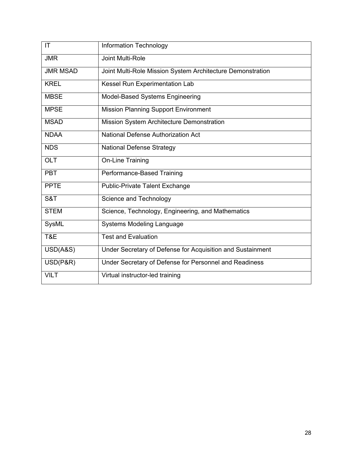| IT              | <b>Information Technology</b>                              |
|-----------------|------------------------------------------------------------|
| <b>JMR</b>      | Joint Multi-Role                                           |
| <b>JMR MSAD</b> | Joint Multi-Role Mission System Architecture Demonstration |
| <b>KREL</b>     | Kessel Run Experimentation Lab                             |
| <b>MBSE</b>     | Model-Based Systems Engineering                            |
| <b>MPSE</b>     | <b>Mission Planning Support Environment</b>                |
| <b>MSAD</b>     | Mission System Architecture Demonstration                  |
| <b>NDAA</b>     | National Defense Authorization Act                         |
| <b>NDS</b>      | <b>National Defense Strategy</b>                           |
| <b>OLT</b>      | <b>On-Line Training</b>                                    |
| <b>PBT</b>      | Performance-Based Training                                 |
| <b>PPTE</b>     | <b>Public-Private Talent Exchange</b>                      |
| S&T             | Science and Technology                                     |
| <b>STEM</b>     | Science, Technology, Engineering, and Mathematics          |
| SysML           | <b>Systems Modeling Language</b>                           |
| T&E             | <b>Test and Evaluation</b>                                 |
| USD(A&S)        | Under Secretary of Defense for Acquisition and Sustainment |
| USD(P&R)        | Under Secretary of Defense for Personnel and Readiness     |
| <b>VILT</b>     | Virtual instructor-led training                            |